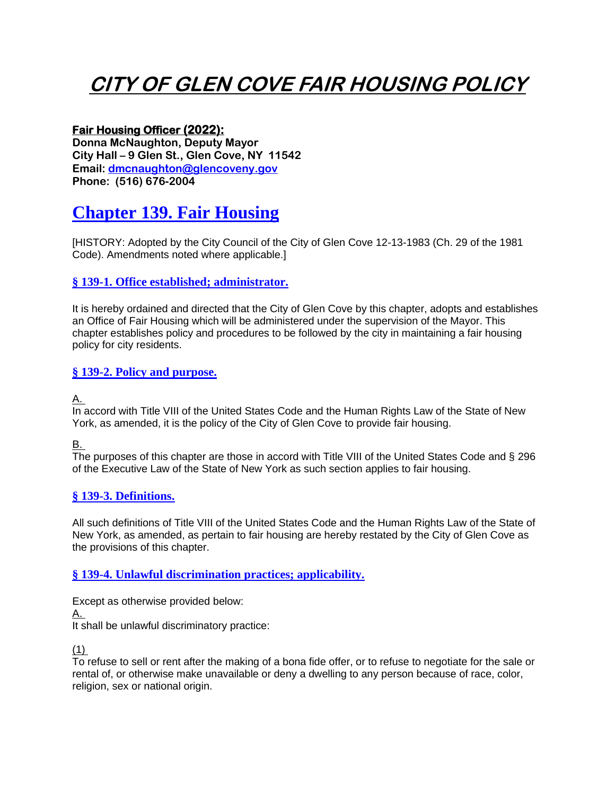# **CITY OF GLEN COVE FAIR HOUSING POLICY**

# **Fair Housing Officer (2022):**

**Donna McNaughton, Deputy Mayor City Hall – 9 Glen St., Glen Cove, NY 11542 Email: [dmcnaughton@glencoveny.gov](mailto:dmcnaughton@glencoveny.gov) Phone: (516) 676-2004**

# **[Chapter 139. Fair Housing](https://ecode360.com/print/GL1564?guid=11768294&children=true#11768294)**

[HISTORY: Adopted by the City Council of the City of Glen Cove 12-13-1983 (Ch. 29 of the 1981 Code). Amendments noted where applicable.]

# **§ [139-1. Office established; administrator.](https://ecode360.com/print/GL1564?guid=11768294&children=true#12084014)**

It is hereby ordained and directed that the City of Glen Cove by this chapter, adopts and establishes an Office of Fair Housing which will be administered under the supervision of the Mayor. This chapter establishes policy and procedures to be followed by the city in maintaining a fair housing policy for city residents.

# **§ [139-2. Policy and purpose.](https://ecode360.com/print/GL1564?guid=11768294&children=true#12084015)**

[A.](https://ecode360.com/print/12084016#12084016)

In accord with Title VIII of the United States Code and the Human Rights Law of the State of New York, as amended, it is the policy of the City of Glen Cove to provide fair housing.

[B.](https://ecode360.com/print/12084017#12084017)

The purposes of this chapter are those in accord with Title VIII of the United States Code and § 296 of the Executive Law of the State of New York as such section applies to fair housing.

# **§ [139-3. Definitions.](https://ecode360.com/print/GL1564?guid=11768294&children=true#12084018)**

All such definitions of Title VIII of the United States Code and the Human Rights Law of the State of New York, as amended, as pertain to fair housing are hereby restated by the City of Glen Cove as the provisions of this chapter.

# **§ [139-4. Unlawful discrimination practices; applicability.](https://ecode360.com/print/GL1564?guid=11768294&children=true#12084019)**

Except as otherwise provided below: [A.](https://ecode360.com/print/12084020#12084020) It shall be unlawful discriminatory practice:

 $(1)$ 

To refuse to sell or rent after the making of a bona fide offer, or to refuse to negotiate for the sale or rental of, or otherwise make unavailable or deny a dwelling to any person because of race, color, religion, sex or national origin.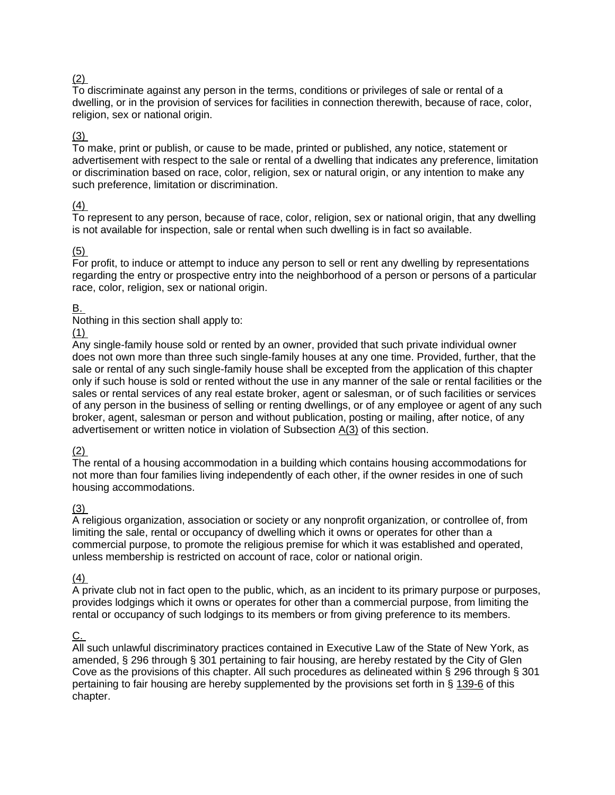# [\(2\)](https://ecode360.com/print/12084022#12084022)

To discriminate against any person in the terms, conditions or privileges of sale or rental of a dwelling, or in the provision of services for facilities in connection therewith, because of race, color, religion, sex or national origin.

#### [\(3\)](https://ecode360.com/print/12084023#12084023)

To make, print or publish, or cause to be made, printed or published, any notice, statement or advertisement with respect to the sale or rental of a dwelling that indicates any preference, limitation or discrimination based on race, color, religion, sex or natural origin, or any intention to make any such preference, limitation or discrimination.

#### [\(4\)](https://ecode360.com/print/12084024#12084024)

To represent to any person, because of race, color, religion, sex or national origin, that any dwelling is not available for inspection, sale or rental when such dwelling is in fact so available.

#### [\(5\)](https://ecode360.com/print/12084025#12084025)

For profit, to induce or attempt to induce any person to sell or rent any dwelling by representations regarding the entry or prospective entry into the neighborhood of a person or persons of a particular race, color, religion, sex or national origin.

#### [B.](https://ecode360.com/print/12084026#12084026)

Nothing in this section shall apply to:

#### [\(1\)](https://ecode360.com/print/12084027#12084027)

Any single-family house sold or rented by an owner, provided that such private individual owner does not own more than three such single-family houses at any one time. Provided, further, that the sale or rental of any such single-family house shall be excepted from the application of this chapter only if such house is sold or rented without the use in any manner of the sale or rental facilities or the sales or rental services of any real estate broker, agent or salesman, or of such facilities or services of any person in the business of selling or renting dwellings, or of any employee or agent of any such broker, agent, salesman or person and without publication, posting or mailing, after notice, of any advertisement or written notice in violation of Subsection [A\(3\)](https://ecode360.com/print/12084023#12084023) of this section.

#### [\(2\)](https://ecode360.com/print/12084028#12084028)

The rental of a housing accommodation in a building which contains housing accommodations for not more than four families living independently of each other, if the owner resides in one of such housing accommodations.

#### [\(3\)](https://ecode360.com/print/12084029#12084029)

A religious organization, association or society or any nonprofit organization, or controllee of, from limiting the sale, rental or occupancy of dwelling which it owns or operates for other than a commercial purpose, to promote the religious premise for which it was established and operated, unless membership is restricted on account of race, color or national origin.

#### $(4)$

A private club not in fact open to the public, which, as an incident to its primary purpose or purposes, provides lodgings which it owns or operates for other than a commercial purpose, from limiting the rental or occupancy of such lodgings to its members or from giving preference to its members.

#### [C.](https://ecode360.com/print/12084031#12084031)

All such unlawful discriminatory practices contained in Executive Law of the State of New York, as amended, § 296 through § 301 pertaining to fair housing, are hereby restated by the City of Glen Cove as the provisions of this chapter. All such procedures as delineated within § 296 through § 301 pertaining to fair housing are hereby supplemented by the provisions set forth in § [139-6](https://ecode360.com/print/12084033#12084033) of this chapter.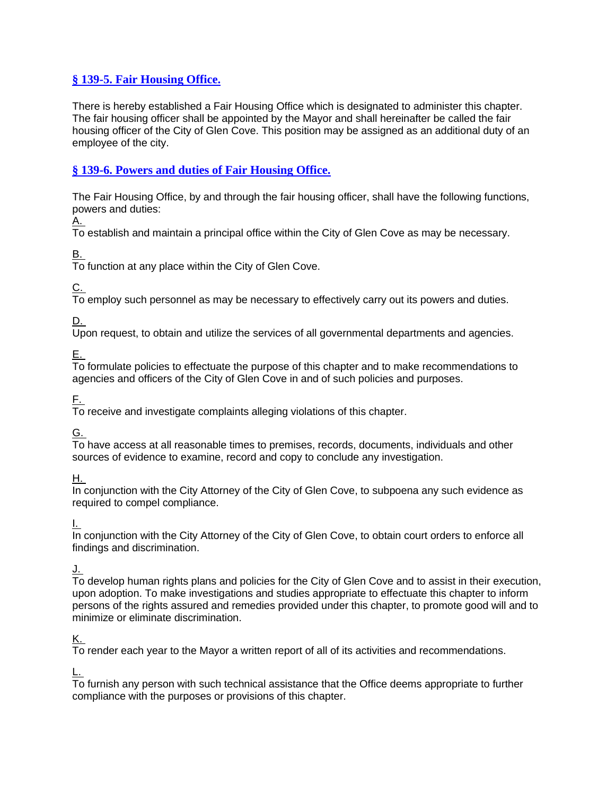# **§ [139-5. Fair Housing Office.](https://ecode360.com/print/GL1564?guid=11768294&children=true#12084032)**

There is hereby established a Fair Housing Office which is designated to administer this chapter. The fair housing officer shall be appointed by the Mayor and shall hereinafter be called the fair housing officer of the City of Glen Cove. This position may be assigned as an additional duty of an employee of the city.

# **§ [139-6. Powers and duties of Fair Housing Office.](https://ecode360.com/print/GL1564?guid=11768294&children=true#12084033)**

The Fair Housing Office, by and through the fair housing officer, shall have the following functions, powers and duties:

[A.](https://ecode360.com/print/12084034#12084034)

To establish and maintain a principal office within the City of Glen Cove as may be necessary.

[B.](https://ecode360.com/print/12084035#12084035)

To function at any place within the City of Glen Cove.

[C.](https://ecode360.com/print/12084036#12084036)

To employ such personnel as may be necessary to effectively carry out its powers and duties.

[D.](https://ecode360.com/print/12084037#12084037)

Upon request, to obtain and utilize the services of all governmental departments and agencies.

[E.](https://ecode360.com/print/12084038#12084038)

To formulate policies to effectuate the purpose of this chapter and to make recommendations to agencies and officers of the City of Glen Cove in and of such policies and purposes.

[F.](https://ecode360.com/print/12084039#12084039)

To receive and investigate complaints alleging violations of this chapter.

[G.](https://ecode360.com/print/12084040#12084040)

To have access at all reasonable times to premises, records, documents, individuals and other sources of evidence to examine, record and copy to conclude any investigation.

[H.](https://ecode360.com/print/12084041#12084041)

In conjunction with the City Attorney of the City of Glen Cove, to subpoena any such evidence as required to compel compliance.

[I.](https://ecode360.com/print/12084042#12084042)

In conjunction with the City Attorney of the City of Glen Cove, to obtain court orders to enforce all findings and discrimination.

#### [J.](https://ecode360.com/print/12084043#12084043)

To develop human rights plans and policies for the City of Glen Cove and to assist in their execution, upon adoption. To make investigations and studies appropriate to effectuate this chapter to inform persons of the rights assured and remedies provided under this chapter, to promote good will and to minimize or eliminate discrimination.

# [K.](https://ecode360.com/print/12084044#12084044)

To render each year to the Mayor a written report of all of its activities and recommendations.

[L.](https://ecode360.com/print/12084045#12084045)

To furnish any person with such technical assistance that the Office deems appropriate to further compliance with the purposes or provisions of this chapter.